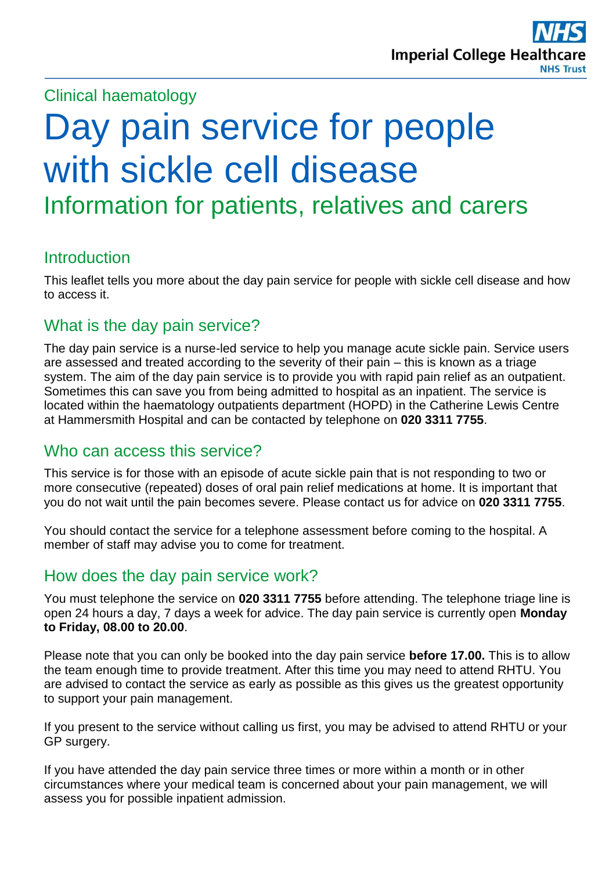# Clinical haematology

# Day pain service for people with sickle cell disease Information for patients, relatives and carers

# **Introduction**

This leaflet tells you more about the day pain service for people with sickle cell disease and how to access it.

# What is the day pain service?

The day pain service is a nurse-led service to help you manage acute sickle pain. Service users are assessed and treated according to the severity of their pain – this is known as a triage system. The aim of the day pain service is to provide you with rapid pain relief as an outpatient. Sometimes this can save you from being admitted to hospital as an inpatient. The service is located within the haematology outpatients department (HOPD) in the Catherine Lewis Centre at Hammersmith Hospital and can be contacted by telephone on **020 3311 7755**.

# Who can access this service?

This service is for those with an episode of acute sickle pain that is not responding to two or more consecutive (repeated) doses of oral pain relief medications at home. It is important that you do not wait until the pain becomes severe. Please contact us for advice on **020 3311 7755**.

You should contact the service for a telephone assessment before coming to the hospital. A member of staff may advise you to come for treatment.

# How does the day pain service work?

You must telephone the service on **020 3311 7755** before attending. The telephone triage line is open 24 hours a day, 7 days a week for advice. The day pain service is currently open **Monday to Friday, 08.00 to 20.00**.

Please note that you can only be booked into the day pain service **before 17.00.** This is to allow the team enough time to provide treatment. After this time you may need to attend RHTU. You are advised to contact the service as early as possible as this gives us the greatest opportunity to support your pain management.

If you present to the service without calling us first, you may be advised to attend RHTU or your GP surgery.

If you have attended the day pain service three times or more within a month or in other circumstances where your medical team is concerned about your pain management, we will assess you for possible inpatient admission.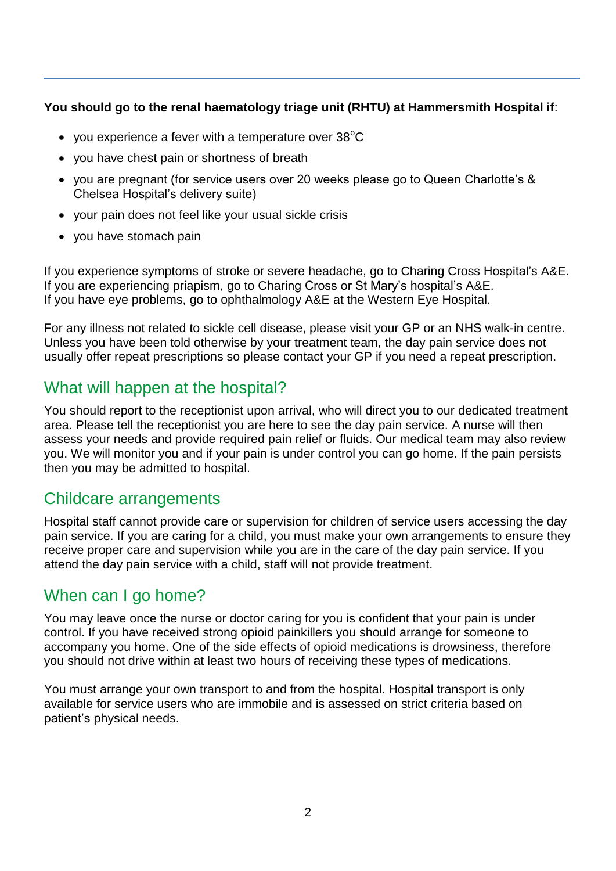#### **You should go to the renal haematology triage unit (RHTU) at Hammersmith Hospital if**:

- you experience a fever with a temperature over  $38^{\circ}$ C
- you have chest pain or shortness of breath
- you are pregnant (for service users over 20 weeks please go to Queen Charlotte's & Chelsea Hospital's delivery suite)
- your pain does not feel like your usual sickle crisis
- you have stomach pain

If you experience symptoms of stroke or severe headache, go to Charing Cross Hospital's A&E. If you are experiencing priapism, go to Charing Cross or St Mary's hospital's A&E. If you have eye problems, go to ophthalmology A&E at the Western Eye Hospital.

For any illness not related to sickle cell disease, please visit your GP or an NHS walk-in centre. Unless you have been told otherwise by your treatment team, the day pain service does not usually offer repeat prescriptions so please contact your GP if you need a repeat prescription.

# What will happen at the hospital?

You should report to the receptionist upon arrival, who will direct you to our dedicated treatment area. Please tell the receptionist you are here to see the day pain service. A nurse will then assess your needs and provide required pain relief or fluids. Our medical team may also review you. We will monitor you and if your pain is under control you can go home. If the pain persists then you may be admitted to hospital.

# Childcare arrangements

Hospital staff cannot provide care or supervision for children of service users accessing the day pain service. If you are caring for a child, you must make your own arrangements to ensure they receive proper care and supervision while you are in the care of the day pain service. If you attend the day pain service with a child, staff will not provide treatment.

# When can I go home?

You may leave once the nurse or doctor caring for you is confident that your pain is under control. If you have received strong opioid painkillers you should arrange for someone to accompany you home. One of the side effects of opioid medications is drowsiness, therefore you should not drive within at least two hours of receiving these types of medications.

You must arrange your own transport to and from the hospital. Hospital transport is only available for service users who are immobile and is assessed on strict criteria based on patient's physical needs.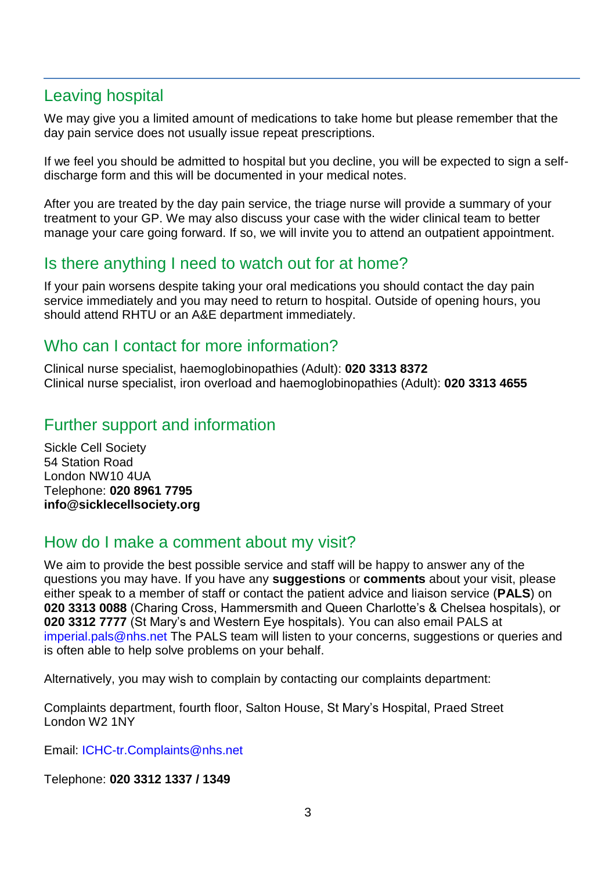# Leaving hospital

We may give you a limited amount of medications to take home but please remember that the day pain service does not usually issue repeat prescriptions.

If we feel you should be admitted to hospital but you decline, you will be expected to sign a selfdischarge form and this will be documented in your medical notes.

After you are treated by the day pain service, the triage nurse will provide a summary of your treatment to your GP. We may also discuss your case with the wider clinical team to better manage your care going forward. If so, we will invite you to attend an outpatient appointment.

# Is there anything I need to watch out for at home?

If your pain worsens despite taking your oral medications you should contact the day pain service immediately and you may need to return to hospital. Outside of opening hours, you should attend RHTU or an A&E department immediately.

# Who can I contact for more information?

Clinical nurse specialist, haemoglobinopathies (Adult): **020 3313 8372** Clinical nurse specialist, iron overload and haemoglobinopathies (Adult): **020 3313 4655**

#### Further support and information

Sickle Cell Society 54 Station Road London NW10 4UA Telephone: **020 8961 7795 [info@sicklecellsociety.org](mailto:info@sicklecellsociety.org)**

#### How do I make a comment about my visit?

We aim to provide the best possible service and staff will be happy to answer any of the questions you may have. If you have any **suggestions** or **comments** about your visit, please either speak to a member of staff or contact the patient advice and liaison service (**PALS**) on **020 3313 0088** (Charing Cross, Hammersmith and Queen Charlotte's & Chelsea hospitals), or **020 3312 7777** (St Mary's and Western Eye hospitals). You can also email PALS at [imperial.pals@nhs.net](mailto:imperial.pals@nhs.net) The PALS team will listen to your concerns, suggestions or queries and is often able to help solve problems on your behalf.

Alternatively, you may wish to complain by contacting our complaints department:

Complaints department, fourth floor, Salton House, St Mary's Hospital, Praed Street London W2 1NY

Email: [ICHC-tr.Complaints@nhs.net](mailto:ICHC-tr.Complaints@nhs.net)

Telephone: **020 3312 1337 / 1349**